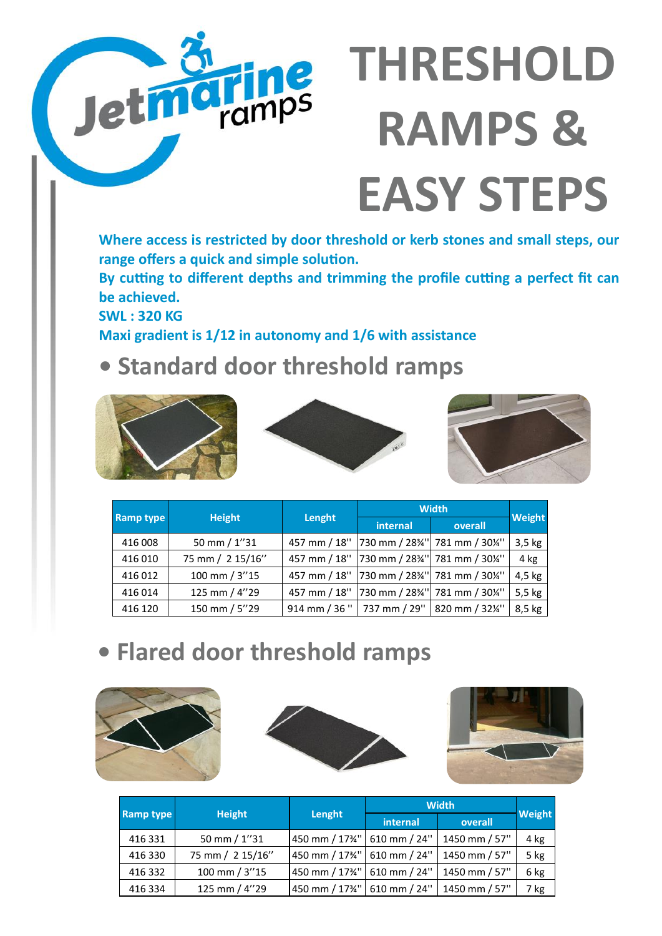# **THRESHOLD RAMPS & EASY STEPS**

**Where access is restricted by door threshold or kerb stones and small steps, our range offers a quick and simple solution.**

**By cutting to different depths and trimming the profile cutting a perfect fit can be achieved.**

**SWL : 320 KG Maxi gradient is 1/12 in autonomy and 1/6 with assistance** 

**Trinips** 

## **• Standard door threshold ramps**





| <b>Ramp type</b> | <b>Height</b>    | Lenght | <b>Width</b> |                                                                            |          |
|------------------|------------------|--------|--------------|----------------------------------------------------------------------------|----------|
|                  |                  |        | internal     | overall                                                                    | Weight   |
| 416 008          | 50 mm / 1"31     |        |              | 457 mm / 18" 730 mm / 28%" 781 mm / 30%"                                   | $3,5$ kg |
| 416 010          | 75 mm / 2 15/16" |        |              | 457 mm / 18" 730 mm / 28%" 781 mm / 30%"                                   | 4 kg     |
| 416 012          | 100 mm / 3"15    |        |              | 457 mm / 18"   730 mm / 28 <sup>3</sup> /4"   781 mm / 30 <sup>1</sup> /4" | 4,5 kg   |
| 416 014          | 125 mm / 4"29    |        |              | 457 mm / 18" 730 mm / 28%" 781 mm / 30%"                                   | 5,5 kg   |
| 416 120          | 150 mm / 5"29    |        |              | 914 mm / 36 "   737 mm / 29"   820 mm / 32¼"                               | 8,5 kg   |

### **• Flared door threshold ramps**







| <b>Ramp type</b> | <b>Height</b> | Lenght           | <b>Width</b>                  |         |               |      |
|------------------|---------------|------------------|-------------------------------|---------|---------------|------|
|                  |               |                  | internal                      | overall | Weight        |      |
|                  | 416 331       | 50 mm $/ 1$ "31  | 450 mm / 17¾" 610 mm / 24"    |         | 1450 mm / 57" | 4 kg |
|                  | 416 330       | 75 mm / 2 15/16" | 450 mm / 17¾" 610 mm / 24"    |         | 1450 mm / 57" | 5 kg |
|                  | 416 332       | 100 mm / 3"15    | 450 mm / 1734"   610 mm / 24" |         | 1450 mm / 57" | 6 kg |
|                  | 416 334       | 125 mm / 4"29    | 450 mm / 17¾" 610 mm / 24"    |         | 1450 mm / 57" | 7 kg |